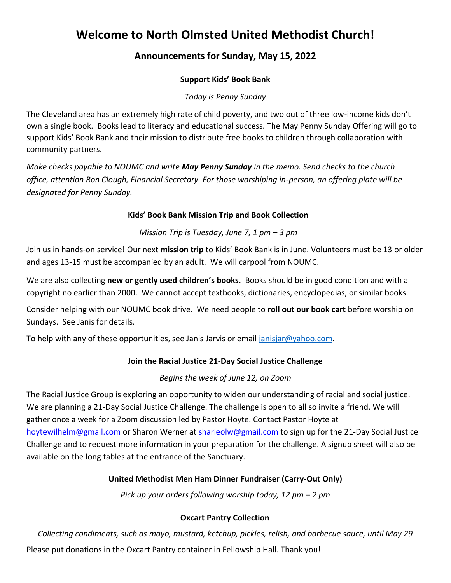# **Welcome to North Olmsted United Methodist Church!**

## **Announcements for Sunday, May 15, 2022**

## **Support Kids' Book Bank**

*Today is Penny Sunday*

The Cleveland area has an extremely high rate of child poverty, and two out of three low-income kids don't own a single book. Books lead to literacy and educational success. The May Penny Sunday Offering will go to support Kids' Book Bank and their mission to distribute free books to children through collaboration with community partners.

*Make checks payable to NOUMC and write May Penny Sunday in the memo. Send checks to the church office, attention Ron Clough, Financial Secretary. For those worshiping in-person, an offering plate will be designated for Penny Sunday.*

#### **Kids' Book Bank Mission Trip and Book Collection**

## *Mission Trip is Tuesday, June 7, 1 pm – 3 pm*

Join us in hands-on service! Our next **mission trip** to Kids' Book Bank is in June. Volunteers must be 13 or older and ages 13-15 must be accompanied by an adult. We will carpool from NOUMC.

We are also collecting **new or gently used children's books**. Books should be in good condition and with a copyright no earlier than 2000. We cannot accept textbooks, dictionaries, encyclopedias, or similar books.

Consider helping with our NOUMC book drive. We need people to **roll out our book cart** before worship on Sundays. See Janis for details.

To help with any of these opportunities, see Janis Jarvis or email [janisjar@yahoo.com.](mailto:janisjar@yahoo.com)

## **Join the Racial Justice 21-Day Social Justice Challenge**

#### *Begins the week of June 12, on Zoom*

The Racial Justice Group is exploring an opportunity to widen our understanding of racial and social justice. We are planning a 21-Day Social Justice Challenge. The challenge is open to all so invite a friend. We will gather once a week for a Zoom discussion led by Pastor Hoyte. Contact Pastor Hoyte at [hoytewilhelm@gmail.com](mailto:hoytewilhelm@gmail.com) or Sharon Werner at [sharieolw@gmail.com](mailto:sharieolw@gmail.com) to sign up for the 21-Day Social Justice Challenge and to request more information in your preparation for the challenge. A signup sheet will also be available on the long tables at the entrance of the Sanctuary.

## **United Methodist Men Ham Dinner Fundraiser (Carry-Out Only)**

*Pick up your orders following worship today, 12 pm – 2 pm*

## **Oxcart Pantry Collection**

*Collecting condiments, such as mayo, mustard, ketchup, pickles, relish, and barbecue sauce, until May 29* Please put donations in the Oxcart Pantry container in Fellowship Hall. Thank you!